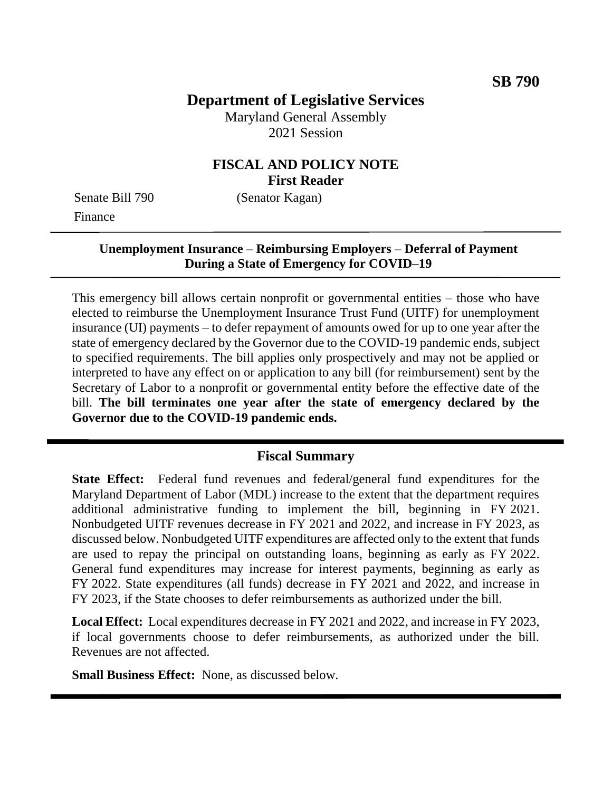# **Department of Legislative Services**

Maryland General Assembly 2021 Session

# **FISCAL AND POLICY NOTE First Reader**

Senate Bill 790 (Senator Kagan) Finance

# **Unemployment Insurance – Reimbursing Employers – Deferral of Payment During a State of Emergency for COVID–19**

This emergency bill allows certain nonprofit or governmental entities – those who have elected to reimburse the Unemployment Insurance Trust Fund (UITF) for unemployment insurance (UI) payments – to defer repayment of amounts owed for up to one year after the state of emergency declared by the Governor due to the COVID-19 pandemic ends, subject to specified requirements. The bill applies only prospectively and may not be applied or interpreted to have any effect on or application to any bill (for reimbursement) sent by the Secretary of Labor to a nonprofit or governmental entity before the effective date of the bill. **The bill terminates one year after the state of emergency declared by the Governor due to the COVID-19 pandemic ends.**

# **Fiscal Summary**

**State Effect:** Federal fund revenues and federal/general fund expenditures for the Maryland Department of Labor (MDL) increase to the extent that the department requires additional administrative funding to implement the bill, beginning in FY 2021. Nonbudgeted UITF revenues decrease in FY 2021 and 2022, and increase in FY 2023, as discussed below. Nonbudgeted UITF expenditures are affected only to the extent that funds are used to repay the principal on outstanding loans, beginning as early as FY 2022. General fund expenditures may increase for interest payments, beginning as early as FY 2022. State expenditures (all funds) decrease in FY 2021 and 2022, and increase in FY 2023, if the State chooses to defer reimbursements as authorized under the bill.

**Local Effect:** Local expenditures decrease in FY 2021 and 2022, and increase in FY 2023, if local governments choose to defer reimbursements, as authorized under the bill. Revenues are not affected.

**Small Business Effect:** None, as discussed below.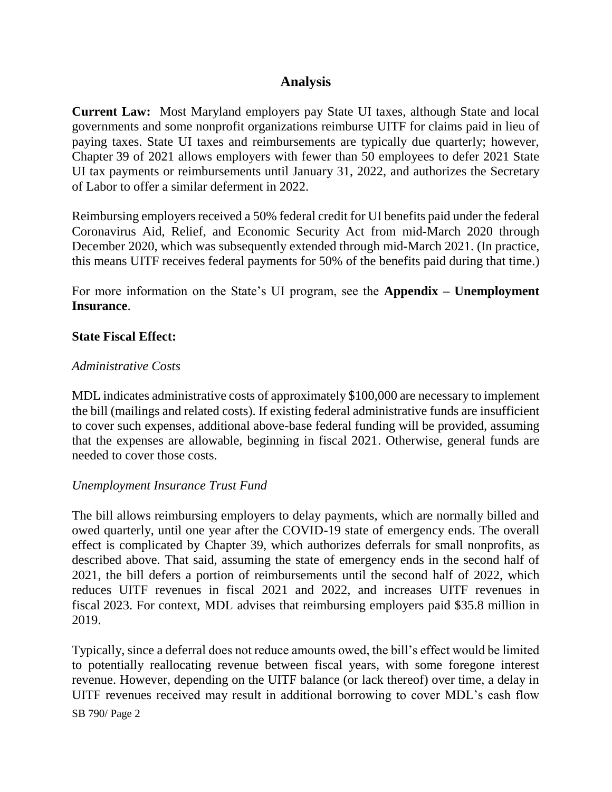# **Analysis**

**Current Law:** Most Maryland employers pay State UI taxes, although State and local governments and some nonprofit organizations reimburse UITF for claims paid in lieu of paying taxes. State UI taxes and reimbursements are typically due quarterly; however, Chapter 39 of 2021 allows employers with fewer than 50 employees to defer 2021 State UI tax payments or reimbursements until January 31, 2022, and authorizes the Secretary of Labor to offer a similar deferment in 2022.

Reimbursing employers received a 50% federal credit for UI benefits paid under the federal Coronavirus Aid, Relief, and Economic Security Act from mid-March 2020 through December 2020, which was subsequently extended through mid-March 2021. (In practice, this means UITF receives federal payments for 50% of the benefits paid during that time.)

For more information on the State's UI program, see the **Appendix – Unemployment Insurance**.

#### **State Fiscal Effect:**

#### *Administrative Costs*

MDL indicates administrative costs of approximately \$100,000 are necessary to implement the bill (mailings and related costs). If existing federal administrative funds are insufficient to cover such expenses, additional above-base federal funding will be provided, assuming that the expenses are allowable, beginning in fiscal 2021. Otherwise, general funds are needed to cover those costs.

#### *Unemployment Insurance Trust Fund*

The bill allows reimbursing employers to delay payments, which are normally billed and owed quarterly, until one year after the COVID-19 state of emergency ends. The overall effect is complicated by Chapter 39, which authorizes deferrals for small nonprofits, as described above. That said, assuming the state of emergency ends in the second half of 2021, the bill defers a portion of reimbursements until the second half of 2022, which reduces UITF revenues in fiscal 2021 and 2022, and increases UITF revenues in fiscal 2023. For context, MDL advises that reimbursing employers paid \$35.8 million in 2019.

Typically, since a deferral does not reduce amounts owed, the bill's effect would be limited to potentially reallocating revenue between fiscal years, with some foregone interest revenue. However, depending on the UITF balance (or lack thereof) over time, a delay in UITF revenues received may result in additional borrowing to cover MDL's cash flow

SB 790/ Page 2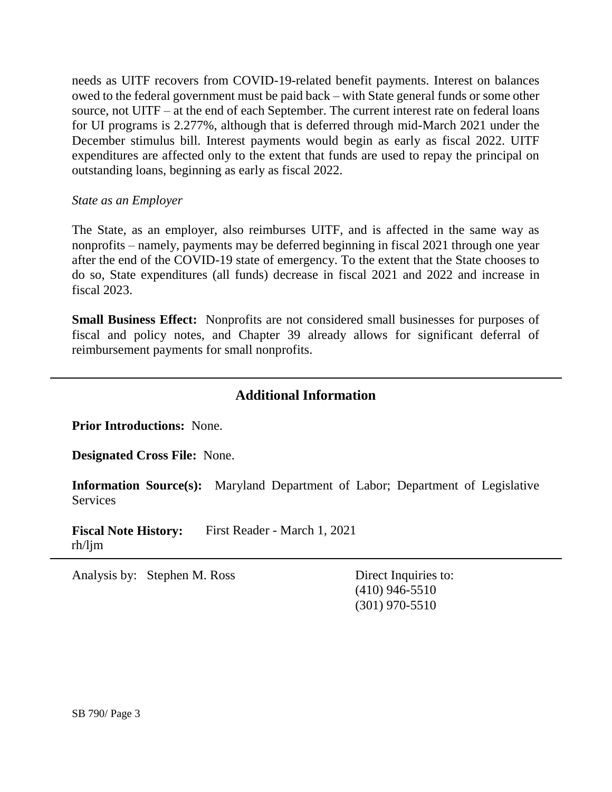needs as UITF recovers from COVID-19-related benefit payments. Interest on balances owed to the federal government must be paid back – with State general funds or some other source, not UITF – at the end of each September. The current interest rate on federal loans for UI programs is 2.277%, although that is deferred through mid-March 2021 under the December stimulus bill. Interest payments would begin as early as fiscal 2022. UITF expenditures are affected only to the extent that funds are used to repay the principal on outstanding loans, beginning as early as fiscal 2022.

#### *State as an Employer*

The State, as an employer, also reimburses UITF, and is affected in the same way as nonprofits – namely, payments may be deferred beginning in fiscal 2021 through one year after the end of the COVID-19 state of emergency. To the extent that the State chooses to do so, State expenditures (all funds) decrease in fiscal 2021 and 2022 and increase in fiscal 2023.

**Small Business Effect:** Nonprofits are not considered small businesses for purposes of fiscal and policy notes, and Chapter 39 already allows for significant deferral of reimbursement payments for small nonprofits.

# **Additional Information**

**Prior Introductions:** None.

**Designated Cross File:** None.

**Information Source(s):** Maryland Department of Labor; Department of Legislative Services

**Fiscal Note History:** First Reader - March 1, 2021 rh/ljm

Analysis by: Stephen M. Ross Direct Inquiries to:

(410) 946-5510 (301) 970-5510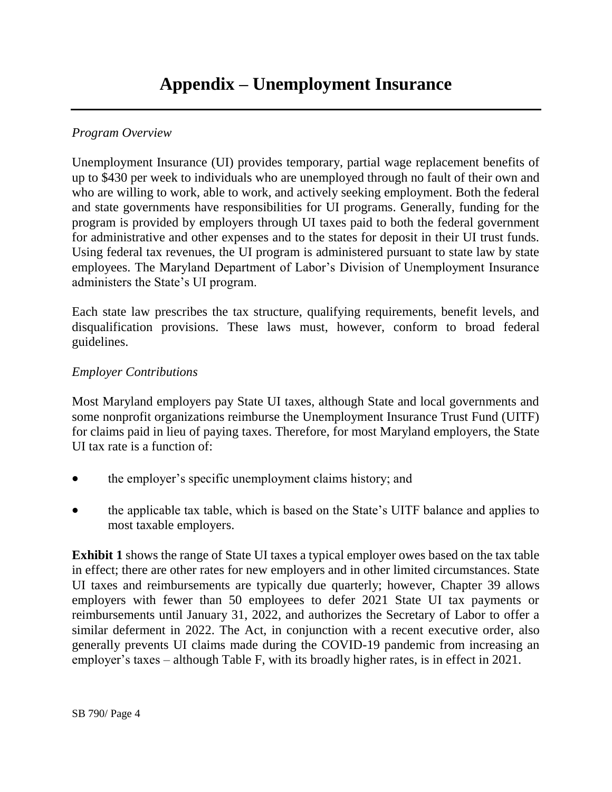# *Program Overview*

Unemployment Insurance (UI) provides temporary, partial wage replacement benefits of up to \$430 per week to individuals who are unemployed through no fault of their own and who are willing to work, able to work, and actively seeking employment. Both the federal and state governments have responsibilities for UI programs. Generally, funding for the program is provided by employers through UI taxes paid to both the federal government for administrative and other expenses and to the states for deposit in their UI trust funds. Using federal tax revenues, the UI program is administered pursuant to state law by state employees. The Maryland Department of Labor's Division of Unemployment Insurance administers the State's UI program.

Each state law prescribes the tax structure, qualifying requirements, benefit levels, and disqualification provisions. These laws must, however, conform to broad federal guidelines.

#### *Employer Contributions*

Most Maryland employers pay State UI taxes, although State and local governments and some nonprofit organizations reimburse the Unemployment Insurance Trust Fund (UITF) for claims paid in lieu of paying taxes. Therefore, for most Maryland employers, the State UI tax rate is a function of:

- the employer's specific unemployment claims history; and
- the applicable tax table, which is based on the State's UITF balance and applies to most taxable employers.

**Exhibit 1** shows the range of State UI taxes a typical employer owes based on the tax table in effect; there are other rates for new employers and in other limited circumstances. State UI taxes and reimbursements are typically due quarterly; however, Chapter 39 allows employers with fewer than 50 employees to defer 2021 State UI tax payments or reimbursements until January 31, 2022, and authorizes the Secretary of Labor to offer a similar deferment in 2022. The Act, in conjunction with a recent executive order, also generally prevents UI claims made during the COVID-19 pandemic from increasing an employer's taxes – although Table F, with its broadly higher rates, is in effect in 2021.